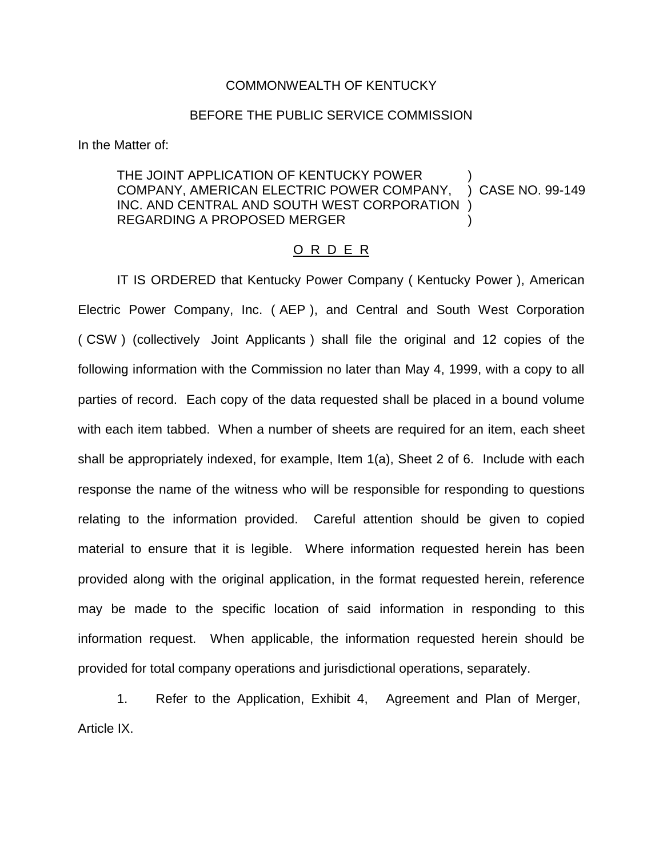#### COMMONWEALTH OF KENTUCKY

#### BEFORE THE PUBLIC SERVICE COMMISSION

In the Matter of:

# THE JOINT APPLICATION OF KENTUCKY POWER COMPANY, AMERICAN ELECTRIC POWER COMPANY, ) CASE NO. 99-149 INC. AND CENTRAL AND SOUTH WEST CORPORATION ) REGARDING A PROPOSED MERGER )

### O R D E R

IT IS ORDERED that Kentucky Power Company ( Kentucky Power ), American Electric Power Company, Inc. ( AEP ), and Central and South West Corporation ( CSW ) (collectively Joint Applicants ) shall file the original and 12 copies of the following information with the Commission no later than May 4, 1999, with a copy to all parties of record. Each copy of the data requested shall be placed in a bound volume with each item tabbed. When a number of sheets are required for an item, each sheet shall be appropriately indexed, for example, Item 1(a), Sheet 2 of 6. Include with each response the name of the witness who will be responsible for responding to questions relating to the information provided. Careful attention should be given to copied material to ensure that it is legible. Where information requested herein has been provided along with the original application, in the format requested herein, reference may be made to the specific location of said information in responding to this information request. When applicable, the information requested herein should be provided for total company operations and jurisdictional operations, separately.

1. Refer to the Application, Exhibit 4, Agreement and Plan of Merger, Article IX.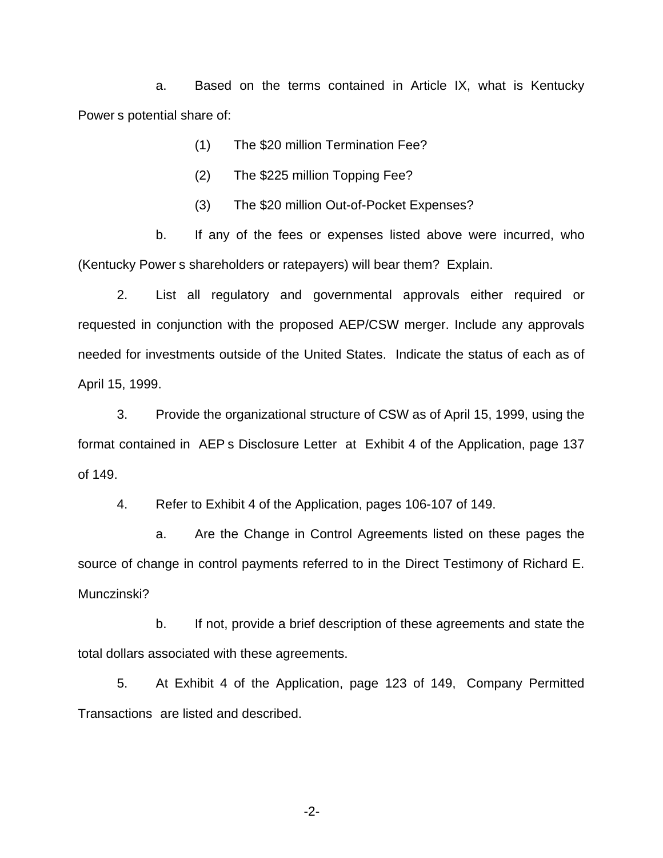a. Based on the terms contained in Article IX, what is Kentucky Power s potential share of:

- (1) The \$20 million Termination Fee?
- (2) The \$225 million Topping Fee?
- (3) The \$20 million Out-of-Pocket Expenses?

b. If any of the fees or expenses listed above were incurred, who (Kentucky Power s shareholders or ratepayers) will bear them? Explain.

2. List all regulatory and governmental approvals either required or requested in conjunction with the proposed AEP/CSW merger. Include any approvals needed for investments outside of the United States. Indicate the status of each as of April 15, 1999.

3. Provide the organizational structure of CSW as of April 15, 1999, using the format contained in AEP s Disclosure Letter at Exhibit 4 of the Application, page 137 of 149.

4. Refer to Exhibit 4 of the Application, pages 106-107 of 149.

a. Are the Change in Control Agreements listed on these pages the source of change in control payments referred to in the Direct Testimony of Richard E. Munczinski?

b. If not, provide a brief description of these agreements and state the total dollars associated with these agreements.

5. At Exhibit 4 of the Application, page 123 of 149, Company Permitted Transactions are listed and described.

-2-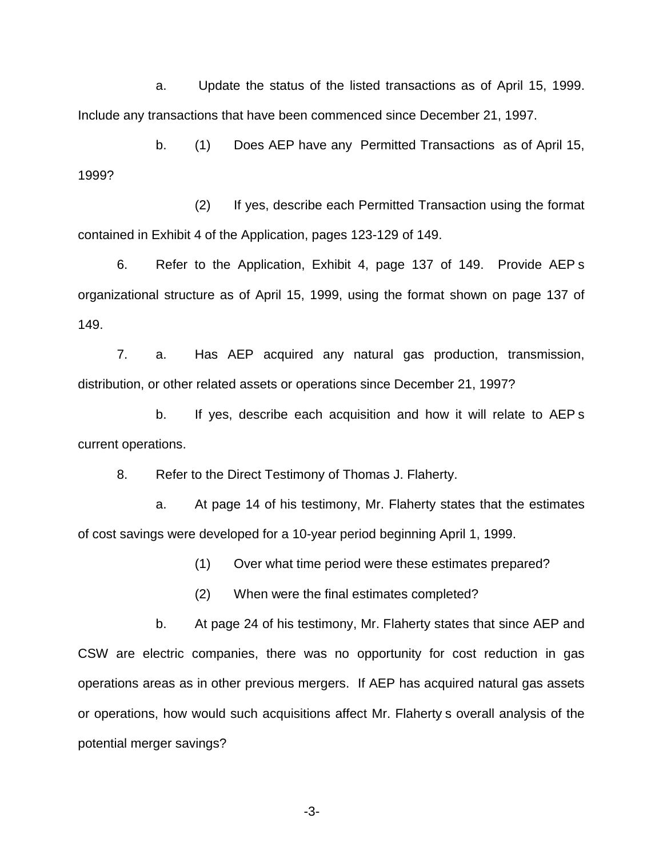a. Update the status of the listed transactions as of April 15, 1999. Include any transactions that have been commenced since December 21, 1997.

b. (1) Does AEP have any Permitted Transactions as of April 15, 1999?

(2) If yes, describe each Permitted Transaction using the format contained in Exhibit 4 of the Application, pages 123-129 of 149.

6. Refer to the Application, Exhibit 4, page 137 of 149. Provide AEP s organizational structure as of April 15, 1999, using the format shown on page 137 of 149.

7. a. Has AEP acquired any natural gas production, transmission, distribution, or other related assets or operations since December 21, 1997?

b. If yes, describe each acquisition and how it will relate to AEP s current operations.

8. Refer to the Direct Testimony of Thomas J. Flaherty.

a. At page 14 of his testimony, Mr. Flaherty states that the estimates of cost savings were developed for a 10-year period beginning April 1, 1999.

(1) Over what time period were these estimates prepared?

(2) When were the final estimates completed?

b. At page 24 of his testimony, Mr. Flaherty states that since AEP and CSW are electric companies, there was no opportunity for cost reduction in gas operations areas as in other previous mergers. If AEP has acquired natural gas assets or operations, how would such acquisitions affect Mr. Flaherty s overall analysis of the potential merger savings?

-3-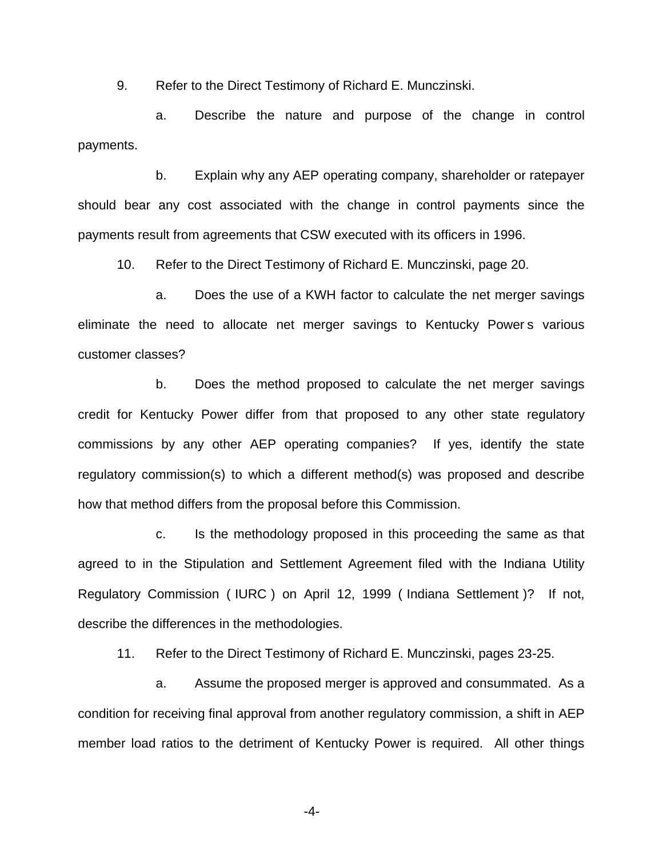9. Refer to the Direct Testimony of Richard E. Munczinski.

a. Describe the nature and purpose of the change in control payments.

b. Explain why any AEP operating company, shareholder or ratepayer should bear any cost associated with the change in control payments since the payments result from agreements that CSW executed with its officers in 1996.

10. Refer to the Direct Testimony of Richard E. Munczinski, page 20.

a. Does the use of a KWH factor to calculate the net merger savings eliminate the need to allocate net merger savings to Kentucky Power s various customer classes?

b. Does the method proposed to calculate the net merger savings credit for Kentucky Power differ from that proposed to any other state regulatory commissions by any other AEP operating companies? If yes, identify the state regulatory commission(s) to which a different method(s) was proposed and describe how that method differs from the proposal before this Commission.

c. Is the methodology proposed in this proceeding the same as that agreed to in the Stipulation and Settlement Agreement filed with the Indiana Utility Regulatory Commission ( IURC ) on April 12, 1999 ( Indiana Settlement )? If not, describe the differences in the methodologies.

11. Refer to the Direct Testimony of Richard E. Munczinski, pages 23-25.

a. Assume the proposed merger is approved and consummated. As a condition for receiving final approval from another regulatory commission, a shift in AEP member load ratios to the detriment of Kentucky Power is required. All other things

-4-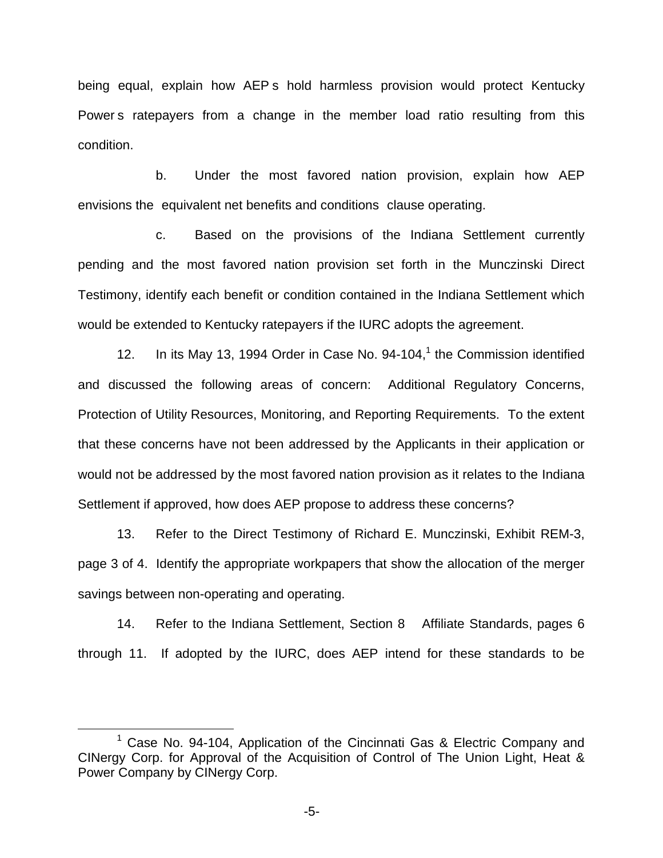being equal, explain how AEP s hold harmless provision would protect Kentucky Power s ratepayers from a change in the member load ratio resulting from this condition.

b. Under the most favored nation provision, explain how AEP envisions the equivalent net benefits and conditions clause operating.

c. Based on the provisions of the Indiana Settlement currently pending and the most favored nation provision set forth in the Munczinski Direct Testimony, identify each benefit or condition contained in the Indiana Settlement which would be extended to Kentucky ratepayers if the IURC adopts the agreement.

12. In its May 13, 1994 Order in Case No.  $94-104$ ,<sup>1</sup> the Commission identified and discussed the following areas of concern: Additional Regulatory Concerns, Protection of Utility Resources, Monitoring, and Reporting Requirements. To the extent that these concerns have not been addressed by the Applicants in their application or would not be addressed by the most favored nation provision as it relates to the Indiana Settlement if approved, how does AEP propose to address these concerns?

13. Refer to the Direct Testimony of Richard E. Munczinski, Exhibit REM-3, page 3 of 4. Identify the appropriate workpapers that show the allocation of the merger savings between non-operating and operating.

14. Refer to the Indiana Settlement, Section 8 Affiliate Standards, pages 6 through 11. If adopted by the IURC, does AEP intend for these standards to be

-5-

 $1$  Case No. 94-104, Application of the Cincinnati Gas & Electric Company and CINergy Corp. for Approval of the Acquisition of Control of The Union Light, Heat & Power Company by CINergy Corp.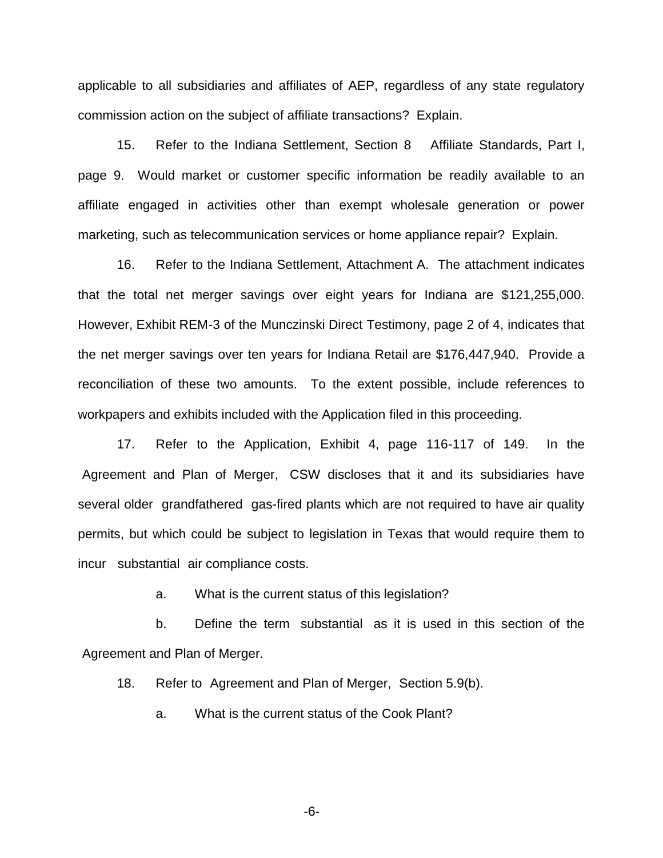applicable to all subsidiaries and affiliates of AEP, regardless of any state regulatory commission action on the subject of affiliate transactions? Explain.

15. Refer to the Indiana Settlement, Section 8 Affiliate Standards, Part I, page 9. Would market or customer specific information be readily available to an affiliate engaged in activities other than exempt wholesale generation or power marketing, such as telecommunication services or home appliance repair? Explain.

16. Refer to the Indiana Settlement, Attachment A. The attachment indicates that the total net merger savings over eight years for Indiana are \$121,255,000. However, Exhibit REM-3 of the Munczinski Direct Testimony, page 2 of 4, indicates that the net merger savings over ten years for Indiana Retail are \$176,447,940. Provide a reconciliation of these two amounts. To the extent possible, include references to workpapers and exhibits included with the Application filed in this proceeding.

17. Refer to the Application, Exhibit 4, page 116-117 of 149. In the Agreement and Plan of Merger, CSW discloses that it and its subsidiaries have several older grandfathered gas-fired plants which are not required to have air quality permits, but which could be subject to legislation in Texas that would require them to incur substantial air compliance costs.

a. What is the current status of this legislation?

b. Define the term substantial as it is used in this section of the Agreement and Plan of Merger.

18. Refer to Agreement and Plan of Merger, Section 5.9(b).

a. What is the current status of the Cook Plant?

-6-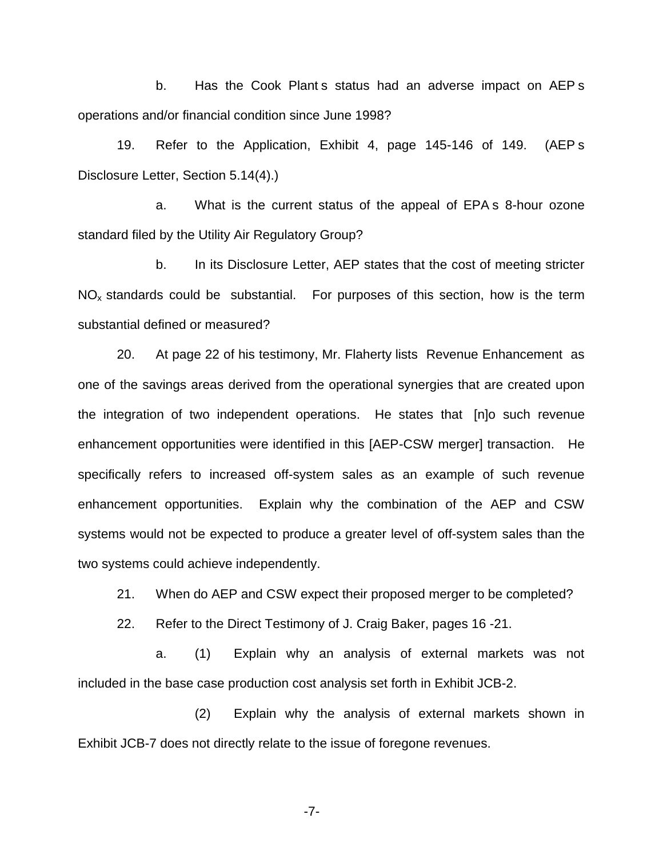b. Has the Cook Plant s status had an adverse impact on AEP s operations and/or financial condition since June 1998?

19. Refer to the Application, Exhibit 4, page 145-146 of 149. (AEP s Disclosure Letter, Section 5.14(4).)

a. What is the current status of the appeal of EPA s 8-hour ozone standard filed by the Utility Air Regulatory Group?

b. In its Disclosure Letter, AEP states that the cost of meeting stricter  $NO<sub>x</sub>$  standards could be substantial. For purposes of this section, how is the term substantial defined or measured?

20. At page 22 of his testimony, Mr. Flaherty lists Revenue Enhancement as one of the savings areas derived from the operational synergies that are created upon the integration of two independent operations. He states that [n]o such revenue enhancement opportunities were identified in this [AEP-CSW merger] transaction. He specifically refers to increased off-system sales as an example of such revenue enhancement opportunities. Explain why the combination of the AEP and CSW systems would not be expected to produce a greater level of off-system sales than the two systems could achieve independently.

21. When do AEP and CSW expect their proposed merger to be completed?

22. Refer to the Direct Testimony of J. Craig Baker, pages 16 -21.

a. (1) Explain why an analysis of external markets was not included in the base case production cost analysis set forth in Exhibit JCB-2.

(2) Explain why the analysis of external markets shown in Exhibit JCB-7 does not directly relate to the issue of foregone revenues.

-7-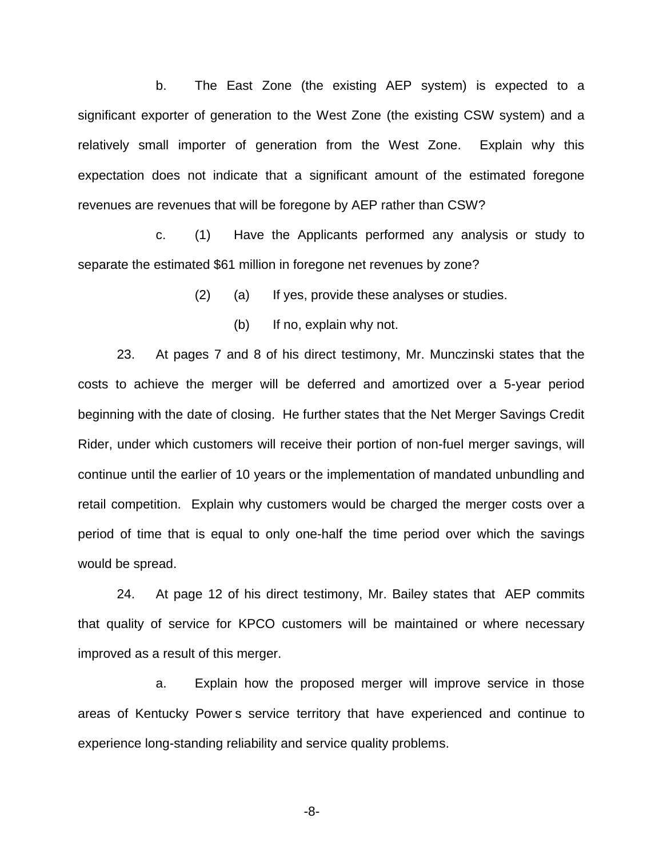b. The East Zone (the existing AEP system) is expected to a significant exporter of generation to the West Zone (the existing CSW system) and a relatively small importer of generation from the West Zone. Explain why this expectation does not indicate that a significant amount of the estimated foregone revenues are revenues that will be foregone by AEP rather than CSW?

c. (1) Have the Applicants performed any analysis or study to separate the estimated \$61 million in foregone net revenues by zone?

(2) (a) If yes, provide these analyses or studies.

(b) If no, explain why not.

23. At pages 7 and 8 of his direct testimony, Mr. Munczinski states that the costs to achieve the merger will be deferred and amortized over a 5-year period beginning with the date of closing. He further states that the Net Merger Savings Credit Rider, under which customers will receive their portion of non-fuel merger savings, will continue until the earlier of 10 years or the implementation of mandated unbundling and retail competition. Explain why customers would be charged the merger costs over a period of time that is equal to only one-half the time period over which the savings would be spread.

24. At page 12 of his direct testimony, Mr. Bailey states that AEP commits that quality of service for KPCO customers will be maintained or where necessary improved as a result of this merger.

a. Explain how the proposed merger will improve service in those areas of Kentucky Power s service territory that have experienced and continue to experience long-standing reliability and service quality problems.

-8-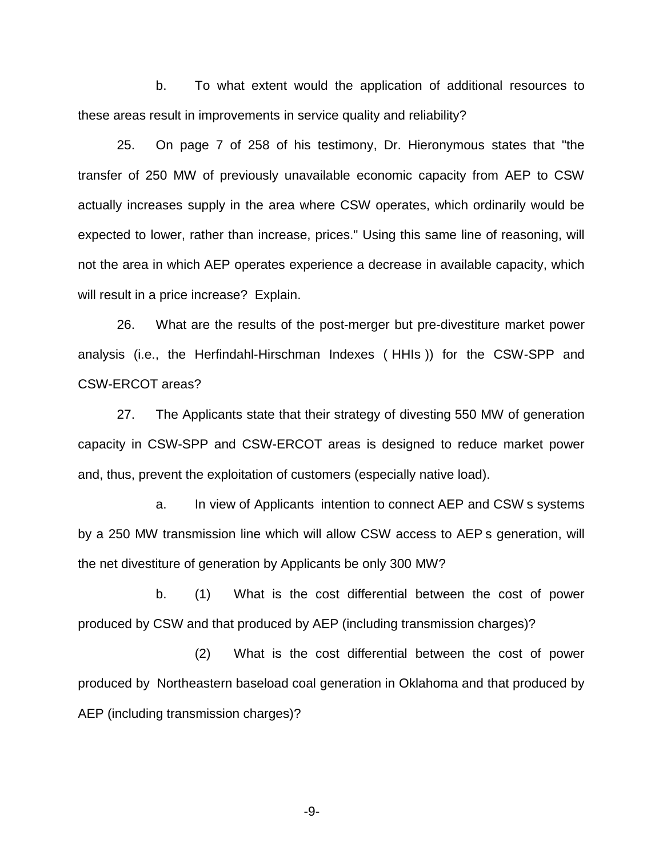b. To what extent would the application of additional resources to these areas result in improvements in service quality and reliability?

25. On page 7 of 258 of his testimony, Dr. Hieronymous states that "the transfer of 250 MW of previously unavailable economic capacity from AEP to CSW actually increases supply in the area where CSW operates, which ordinarily would be expected to lower, rather than increase, prices." Using this same line of reasoning, will not the area in which AEP operates experience a decrease in available capacity, which will result in a price increase? Explain.

26. What are the results of the post-merger but pre-divestiture market power analysis (i.e., the Herfindahl-Hirschman Indexes ( HHIs )) for the CSW-SPP and CSW-ERCOT areas?

27. The Applicants state that their strategy of divesting 550 MW of generation capacity in CSW-SPP and CSW-ERCOT areas is designed to reduce market power and, thus, prevent the exploitation of customers (especially native load).

a. In view of Applicants intention to connect AEP and CSW s systems by a 250 MW transmission line which will allow CSW access to AEP s generation, will the net divestiture of generation by Applicants be only 300 MW?

b. (1) What is the cost differential between the cost of power produced by CSW and that produced by AEP (including transmission charges)?

(2) What is the cost differential between the cost of power produced by Northeastern baseload coal generation in Oklahoma and that produced by AEP (including transmission charges)?

-9-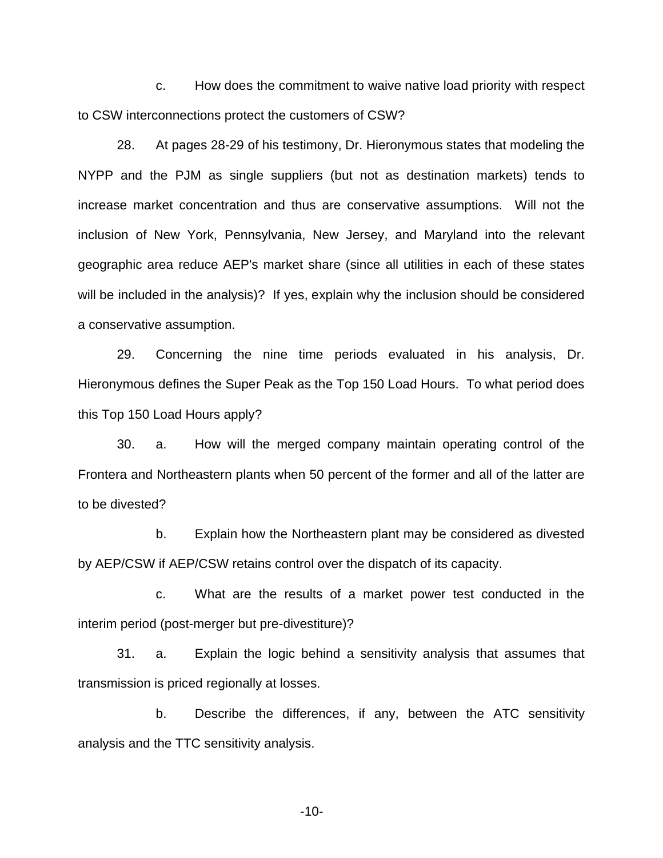c. How does the commitment to waive native load priority with respect to CSW interconnections protect the customers of CSW?

28. At pages 28-29 of his testimony, Dr. Hieronymous states that modeling the NYPP and the PJM as single suppliers (but not as destination markets) tends to increase market concentration and thus are conservative assumptions. Will not the inclusion of New York, Pennsylvania, New Jersey, and Maryland into the relevant geographic area reduce AEP's market share (since all utilities in each of these states will be included in the analysis)? If yes, explain why the inclusion should be considered a conservative assumption.

29. Concerning the nine time periods evaluated in his analysis, Dr. Hieronymous defines the Super Peak as the Top 150 Load Hours. To what period does this Top 150 Load Hours apply?

30. a. How will the merged company maintain operating control of the Frontera and Northeastern plants when 50 percent of the former and all of the latter are to be divested?

b. Explain how the Northeastern plant may be considered as divested by AEP/CSW if AEP/CSW retains control over the dispatch of its capacity.

c. What are the results of a market power test conducted in the interim period (post-merger but pre-divestiture)?

31. a. Explain the logic behind a sensitivity analysis that assumes that transmission is priced regionally at losses.

b. Describe the differences, if any, between the ATC sensitivity analysis and the TTC sensitivity analysis.

-10-